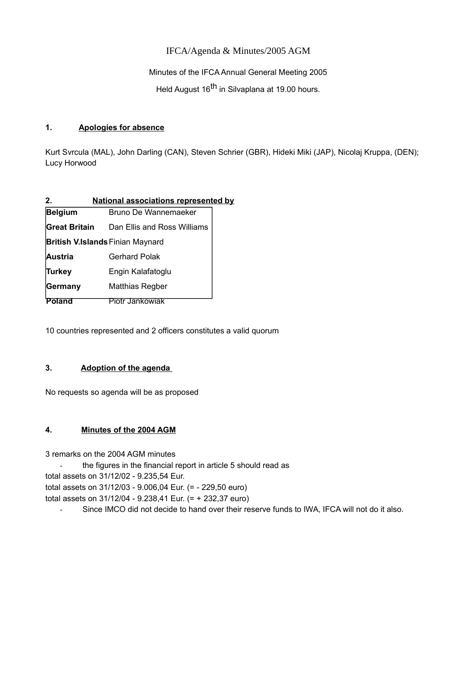# IFCA/Agenda & Minutes/2005 AGM

Minutes of the IFCA Annual General Meeting 2005

Held August 16<sup>th</sup> in Silvaplana at 19.00 hours.

### **1. Apologies for absence**

Kurt Svrcula (MAL), John Darling (CAN), Steven Schrier (GBR), Hideki Miki (JAP), Nicolaj Kruppa, (DEN); Lucy Horwood

| $2_{\cdot}$                             | <b>National associations represented by</b> |  |  |  |
|-----------------------------------------|---------------------------------------------|--|--|--|
| <b>Belgium</b>                          | Bruno De Wannemaeker                        |  |  |  |
| <b>Great Britain</b>                    | Dan Ellis and Ross Williams                 |  |  |  |
| <b>British V.Islands Finian Maynard</b> |                                             |  |  |  |
| <b>Austria</b>                          | <b>Gerhard Polak</b>                        |  |  |  |
| <b>Turkey</b>                           | Engin Kalafatoglu                           |  |  |  |
| <b>Germany</b>                          | Matthias Regber                             |  |  |  |
| Poland                                  | Piotr Jankowiak                             |  |  |  |

10 countries represented and 2 officers constitutes a valid quorum

## **3. Adoption of the agenda**

No requests so agenda will be as proposed

## **4. [Minutes of the 2004 AGM](http://ifca.internationalwindsurfing.com/page0128v01.htm)**

3 remarks on the 2004 AGM minutes

- the figures in the financial report in article 5 should read as

total assets on 31/12/02 - 9.235,54 Eur.

total assets on 31/12/03 - 9.006,04 Eur. (= - 229,50 euro)

total assets on 31/12/04 - 9.238,41 Eur. (= + 232,37 euro)

- Since IMCO did not decide to hand over their reserve funds to IWA, IFCA will not do it also.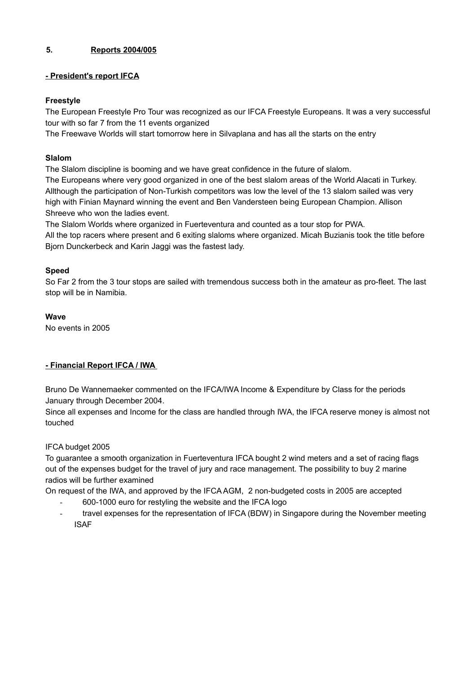## **5. Reports 2004/005**

## **- President's report IFCA**

## **Freestyle**

The European Freestyle Pro Tour was recognized as our IFCA Freestyle Europeans. It was a very successful tour with so far 7 from the 11 events organized

The Freewave Worlds will start tomorrow here in Silvaplana and has all the starts on the entry

# **Slalom**

The Slalom discipline is booming and we have great confidence in the future of slalom.

The Europeans where very good organized in one of the best slalom areas of the World Alacati in Turkey. Allthough the participation of Non-Turkish competitors was low the level of the 13 slalom sailed was very high with Finian Maynard winning the event and Ben Vandersteen being European Champion. Allison Shreeve who won the ladies event.

The Slalom Worlds where organized in Fuerteventura and counted as a tour stop for PWA.

All the top racers where present and 6 exiting slaloms where organized. Micah Buzianis took the title before Bjorn Dunckerbeck and Karin Jaggi was the fastest lady.

# **Speed**

So Far 2 from the 3 tour stops are sailed with tremendous success both in the amateur as pro-fleet. The last stop will be in Namibia.

# **Wave**

No events in 2005

# **- Financial Report IFCA / IWA**

Bruno De Wannemaeker commented on the IFCA/IWA Income & Expenditure by Class for the periods January through December 2004.

Since all expenses and Income for the class are handled through IWA, the IFCA reserve money is almost not touched

# IFCA budget 2005

To guarantee a smooth organization in Fuerteventura IFCA bought 2 wind meters and a set of racing flags out of the expenses budget for the travel of jury and race management. The possibility to buy 2 marine radios will be further examined

On request of the IWA, and approved by the IFCA AGM, 2 non-budgeted costs in 2005 are accepted

- 600-1000 euro for restyling the website and the IFCA logo
- travel expenses for the representation of IFCA (BDW) in Singapore during the November meeting ISAF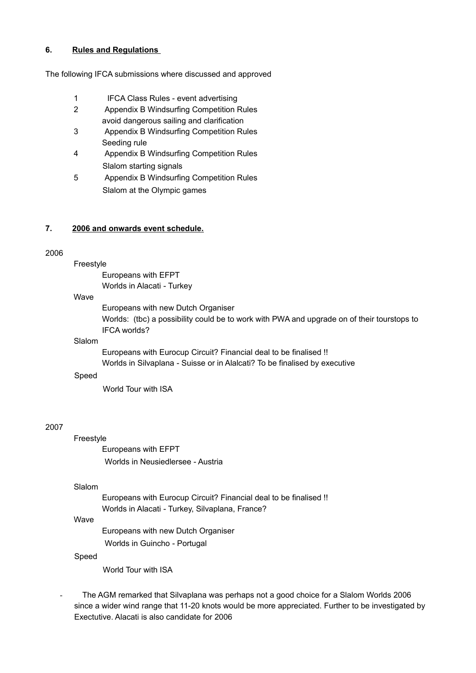### **6. Rules and Regulations**

The following IFCA submissions where discussed and approved

- 1 IFCA Class Rules event advertising
- 2 Appendix B Windsurfing Competition Rules avoid dangerous sailing and clarification
- 3 Appendix B Windsurfing Competition Rules Seeding rule
- 4 Appendix B Windsurfing Competition Rules Slalom starting signals
- 5 Appendix B Windsurfing Competition Rules Slalom at the Olympic games

#### **7. 2006 and onwards event schedule.**

#### 2006

Freestyle

Europeans with EFPT Worlds in Alacati - Turkey

#### Wave

Europeans with new Dutch Organiser Worlds: (tbc) a possibility could be to work with PWA and upgrade on of their tourstops to IFCA worlds?

#### Slalom

Europeans with Eurocup Circuit? Financial deal to be finalised !! Worlds in Silvaplana - Suisse or in Alalcati? To be finalised by executive

### Speed

World Tour with ISA

### 2007

## Freestyle

Europeans with EFPT Worlds in Neusiedlersee - Austria

#### Slalom

Europeans with Eurocup Circuit? Financial deal to be finalised !! Worlds in Alacati - Turkey, Silvaplana, France?

## Wave

Europeans with new Dutch Organiser Worlds in Guincho - Portugal

#### Speed

World Tour with ISA

- The AGM remarked that Silvaplana was perhaps not a good choice for a Slalom Worlds 2006 since a wider wind range that 11-20 knots would be more appreciated. Further to be investigated by Exectutive. Alacati is also candidate for 2006